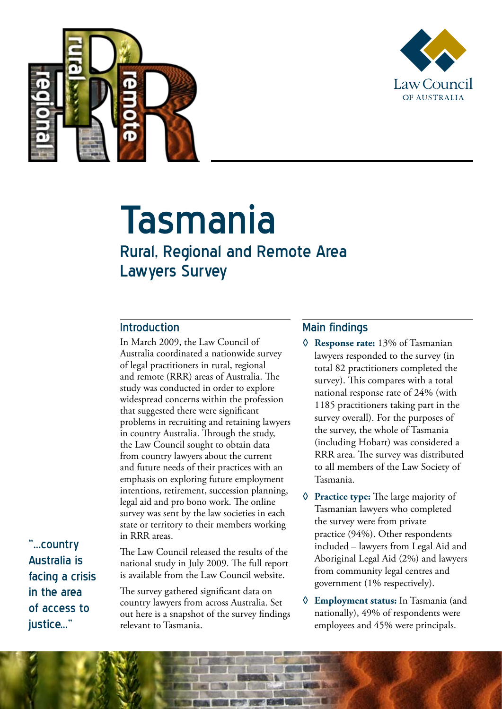



# Tasmania

# Rural, Regional and Remote Area Lawyers Survey

#### Introduction

In March 2009, the Law Council of Australia coordinated a nationwide survey of legal practitioners in rural, regional and remote (RRR) areas of Australia. The study was conducted in order to explore widespread concerns within the profession that suggested there were significant problems in recruiting and retaining lawyers in country Australia. Through the study, the Law Council sought to obtain data from country lawyers about the current and future needs of their practices with an emphasis on exploring future employment intentions, retirement, succession planning, legal aid and pro bono work. The online survey was sent by the law societies in each state or territory to their members working in RRR areas.

"...country Australia is facing a crisis in the area of access to justice..."

The Law Council released the results of the national study in July 2009. The full report is available from the Law Council website.

The survey gathered significant data on country lawyers from across Australia. Set out here is a snapshot of the survey findings relevant to Tasmania.

## Main findings

- **◊ Response rate:** 13% of Tasmanian lawyers responded to the survey (in total 82 practitioners completed the survey). This compares with a total national response rate of 24% (with 1185 practitioners taking part in the survey overall). For the purposes of the survey, the whole of Tasmania (including Hobart) was considered a RRR area. The survey was distributed to all members of the Law Society of Tasmania.
- **◊ Practice type:** The large majority of Tasmanian lawyers who completed the survey were from private practice (94%). Other respondents included – lawyers from Legal Aid and Aboriginal Legal Aid (2%) and lawyers from community legal centres and government (1% respectively).
- **◊ Employment status:** In Tasmania (and nationally), 49% of respondents were employees and 45% were principals.